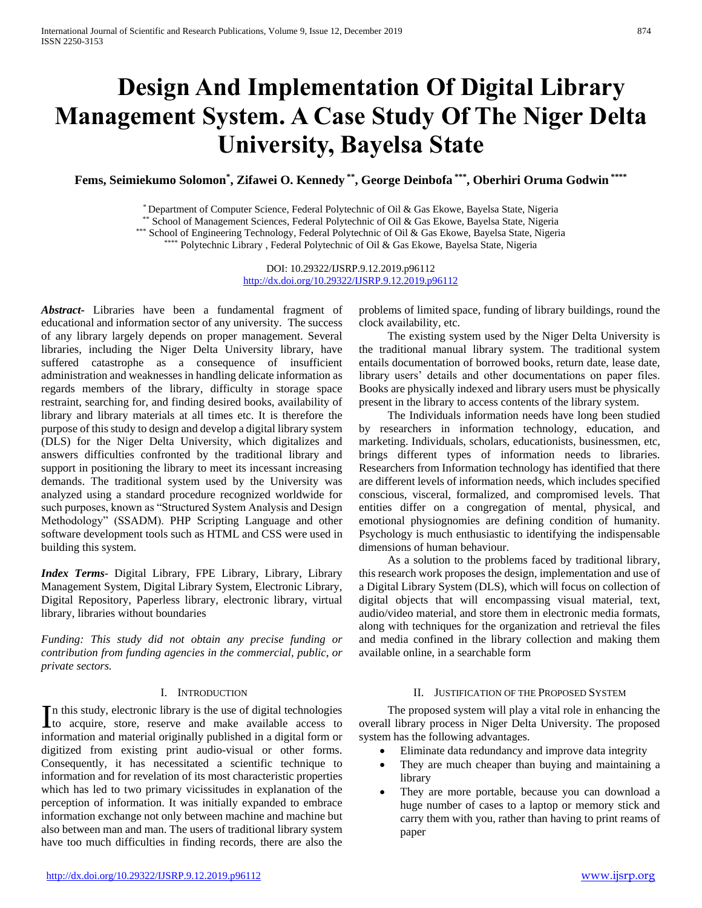# **Design And Implementation Of Digital Library Management System. A Case Study Of The Niger Delta University, Bayelsa State**

**Fems, Seimiekumo Solomon\* , Zifawei O. Kennedy \*\* , George Deinbofa \*\*\* , Oberhiri Oruma Godwin \*\*\*\***

\* Department of Computer Science, Federal Polytechnic of Oil & Gas Ekowe, Bayelsa State, Nigeria

\*\* School of Management Sciences, Federal Polytechnic of Oil & Gas Ekowe, Bayelsa State, Nigeria

\*\*\* School of Engineering Technology, Federal Polytechnic of Oil & Gas Ekowe, Bayelsa State, Nigeria

\*\*\*\* Polytechnic Library, Federal Polytechnic of Oil & Gas Ekowe, Bayelsa State, Nigeria

DOI: 10.29322/IJSRP.9.12.2019.p96112 <http://dx.doi.org/10.29322/IJSRP.9.12.2019.p96112>

*Abstract***-** Libraries have been a fundamental fragment of educational and information sector of any university. The success of any library largely depends on proper management. Several libraries, including the Niger Delta University library, have suffered catastrophe as a consequence of insufficient administration and weaknesses in handling delicate information as regards members of the library, difficulty in storage space restraint, searching for, and finding desired books, availability of library and library materials at all times etc. It is therefore the purpose of this study to design and develop a digital library system (DLS) for the Niger Delta University, which digitalizes and answers difficulties confronted by the traditional library and support in positioning the library to meet its incessant increasing demands. The traditional system used by the University was analyzed using a standard procedure recognized worldwide for such purposes, known as "Structured System Analysis and Design Methodology" (SSADM). PHP Scripting Language and other software development tools such as HTML and CSS were used in building this system.

*Index Terms*- Digital Library, FPE Library, Library, Library Management System, Digital Library System, Electronic Library, Digital Repository, Paperless library, electronic library, virtual library, libraries without boundaries

*Funding: This study did not obtain any precise funding or contribution from funding agencies in the commercial, public, or private sectors.*

# I. INTRODUCTION

n this study, electronic library is the use of digital technologies In this study, electronic library is the use of digital technologies<br>to acquire, store, reserve and make available access to information and material originally published in a digital form or digitized from existing print audio-visual or other forms. Consequently, it has necessitated a scientific technique to information and for revelation of its most characteristic properties which has led to two primary vicissitudes in explanation of the perception of information. It was initially expanded to embrace information exchange not only between machine and machine but also between man and man. The users of traditional library system have too much difficulties in finding records, there are also the

problems of limited space, funding of library buildings, round the clock availability, etc.

 The existing system used by the Niger Delta University is the traditional manual library system. The traditional system entails documentation of borrowed books, return date, lease date, library users' details and other documentations on paper files. Books are physically indexed and library users must be physically present in the library to access contents of the library system.

 The Individuals information needs have long been studied by researchers in information technology, education, and marketing. Individuals, scholars, educationists, businessmen, etc, brings different types of information needs to libraries. Researchers from Information technology has identified that there are different levels of information needs, which includes specified conscious, visceral, formalized, and compromised levels. That entities differ on a congregation of mental, physical, and emotional physiognomies are defining condition of humanity. Psychology is much enthusiastic to identifying the indispensable dimensions of human behaviour.

 As a solution to the problems faced by traditional library, this research work proposes the design, implementation and use of a Digital Library System (DLS), which will focus on collection of digital objects that will encompassing visual material, text, audio/video material, and store them in electronic media formats, along with techniques for the organization and retrieval the files and media confined in the library collection and making them available online, in a searchable form

# II. JUSTIFICATION OF THE PROPOSED SYSTEM

 The proposed system will play a vital role in enhancing the overall library process in Niger Delta University. The proposed system has the following advantages.

- Eliminate data redundancy and improve data integrity
- They are much cheaper than buying and maintaining a library
- They are more portable, because you can download a huge number of cases to a laptop or memory stick and carry them with you, rather than having to print reams of paper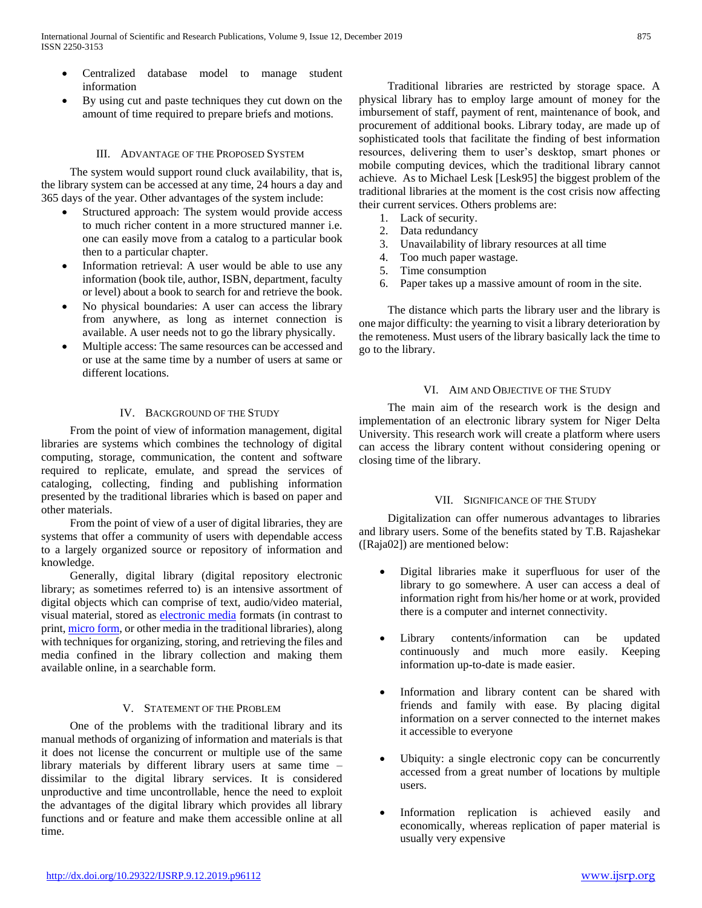- Centralized database model to manage student information
- By using cut and paste techniques they cut down on the amount of time required to prepare briefs and motions.

# III. ADVANTAGE OF THE PROPOSED SYSTEM

 The system would support round cluck availability, that is, the library system can be accessed at any time, 24 hours a day and 365 days of the year. Other advantages of the system include:

- Structured approach: The system would provide access to much richer content in a more structured manner i.e. one can easily move from a catalog to a particular book then to a particular chapter.
- Information retrieval: A user would be able to use any information (book tile, author, ISBN, department, faculty or level) about a book to search for and retrieve the book.
- No physical boundaries: A user can access the library from anywhere, as long as internet connection is available. A user needs not to go the library physically.
- Multiple access: The same resources can be accessed and or use at the same time by a number of users at same or different locations.

# IV. BACKGROUND OF THE STUDY

 From the point of view of information management, digital libraries are systems which combines the technology of digital computing, storage, communication, the content and software required to replicate, emulate, and spread the services of cataloging, collecting, finding and publishing information presented by the traditional libraries which is based on paper and other materials.

 From the point of view of a user of digital libraries, they are systems that offer a community of users with dependable access to a largely organized source or repository of information and knowledge.

 Generally, digital library (digital repository electronic library; as sometimes referred to) is an intensive assortment of digital objects which can comprise of text, audio/video material, visual material, stored as [electronic media](http://en.wikipedia.org/wiki/Electronic_media) formats (in contrast to print[, micro form,](http://en.wikipedia.org/wiki/Micro_form) or other media in the traditional libraries), along with techniques for organizing, storing, and retrieving the files and media confined in the library collection and making them available online, in a searchable form.

# V. STATEMENT OF THE PROBLEM

 One of the problems with the traditional library and its manual methods of organizing of information and materials is that it does not license the concurrent or multiple use of the same library materials by different library users at same time – dissimilar to the digital library services. It is considered unproductive and time uncontrollable, hence the need to exploit the advantages of the digital library which provides all library functions and or feature and make them accessible online at all time.

 Traditional libraries are restricted by storage space. A physical library has to employ large amount of money for the imbursement of staff, payment of rent, maintenance of book, and procurement of additional books. Library today, are made up of sophisticated tools that facilitate the finding of best information resources, delivering them to user's desktop, smart phones or mobile computing devices, which the traditional library cannot achieve. As to Michael Lesk [Lesk95] the biggest problem of the traditional libraries at the moment is the cost crisis now affecting their current services. Others problems are:

- 1. Lack of security.
- 2. Data redundancy
- 3. Unavailability of library resources at all time
- 4. Too much paper wastage.
- 5. Time consumption
- 6. Paper takes up a massive amount of room in the site.

 The distance which parts the library user and the library is one major difficulty: the yearning to visit a library deterioration by the remoteness. Must users of the library basically lack the time to go to the library.

# VI. AIM AND OBJECTIVE OF THE STUDY

 The main aim of the research work is the design and implementation of an electronic library system for Niger Delta University. This research work will create a platform where users can access the library content without considering opening or closing time of the library.

# VII. SIGNIFICANCE OF THE STUDY

 Digitalization can offer numerous advantages to libraries and library users. Some of the benefits stated by T.B. Rajashekar ([Raja02]) are mentioned below:

- Digital libraries make it superfluous for user of the library to go somewhere. A user can access a deal of information right from his/her home or at work, provided there is a computer and internet connectivity.
- Library contents/information can be updated continuously and much more easily. Keeping information up-to-date is made easier.
- Information and library content can be shared with friends and family with ease. By placing digital information on a server connected to the internet makes it accessible to everyone
- Ubiquity: a single electronic copy can be concurrently accessed from a great number of locations by multiple users.
- Information replication is achieved easily and economically, whereas replication of paper material is usually very expensive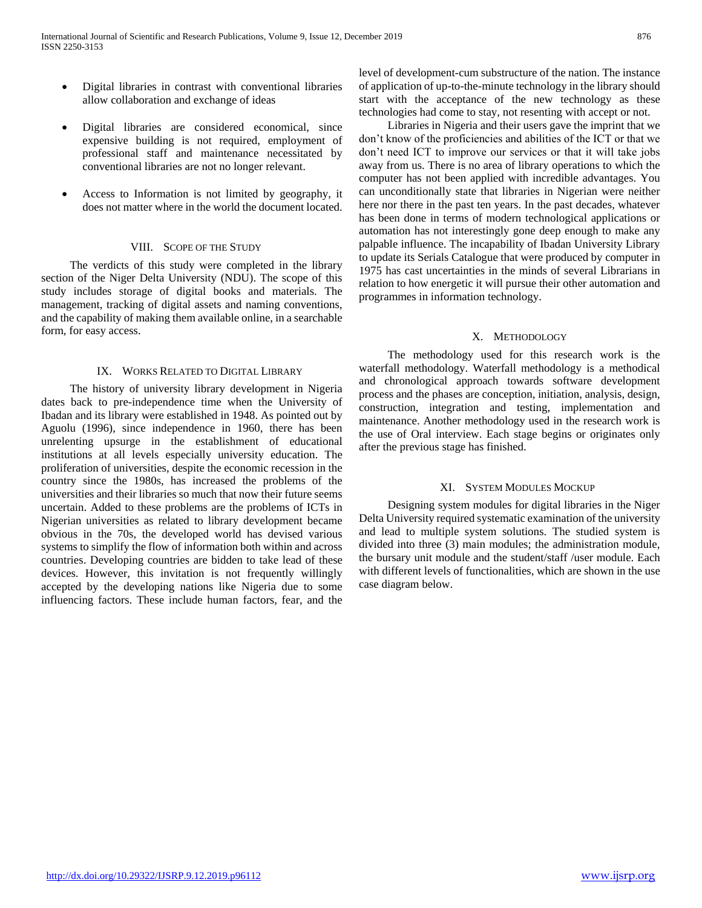- Digital libraries in contrast with conventional libraries allow collaboration and exchange of ideas
- Digital libraries are considered economical, since expensive building is not required, employment of professional staff and maintenance necessitated by conventional libraries are not no longer relevant.
- Access to Information is not limited by geography, it does not matter where in the world the document located.

## VIII. SCOPE OF THE STUDY

 The verdicts of this study were completed in the library section of the Niger Delta University (NDU). The scope of this study includes storage of digital books and materials. The management, tracking of digital assets and naming conventions, and the capability of making them available online, in a searchable form, for easy access.

#### IX. WORKS RELATED TO DIGITAL LIBRARY

 The history of university library development in Nigeria dates back to pre-independence time when the University of Ibadan and its library were established in 1948. As pointed out by Aguolu (1996), since independence in 1960, there has been unrelenting upsurge in the establishment of educational institutions at all levels especially university education. The proliferation of universities, despite the economic recession in the country since the 1980s, has increased the problems of the universities and their libraries so much that now their future seems uncertain. Added to these problems are the problems of ICTs in Nigerian universities as related to library development became obvious in the 70s, the developed world has devised various systems to simplify the flow of information both within and across countries. Developing countries are bidden to take lead of these devices. However, this invitation is not frequently willingly accepted by the developing nations like Nigeria due to some influencing factors. These include human factors, fear, and the

level of development-cum substructure of the nation. The instance of application of up-to-the-minute technology in the library should start with the acceptance of the new technology as these technologies had come to stay, not resenting with accept or not.

 Libraries in Nigeria and their users gave the imprint that we don't know of the proficiencies and abilities of the ICT or that we don't need ICT to improve our services or that it will take jobs away from us. There is no area of library operations to which the computer has not been applied with incredible advantages. You can unconditionally state that libraries in Nigerian were neither here nor there in the past ten years. In the past decades, whatever has been done in terms of modern technological applications or automation has not interestingly gone deep enough to make any palpable influence. The incapability of Ibadan University Library to update its Serials Catalogue that were produced by computer in 1975 has cast uncertainties in the minds of several Librarians in relation to how energetic it will pursue their other automation and programmes in information technology.

## X. METHODOLOGY

 The methodology used for this research work is the waterfall methodology. Waterfall methodology is a methodical and chronological approach towards software development process and the phases are conception, initiation, analysis, design, construction, integration and testing, implementation and maintenance. Another methodology used in the research work is the use of Oral interview. Each stage begins or originates only after the previous stage has finished.

#### XI. SYSTEM MODULES MOCKUP

 Designing system modules for digital libraries in the Niger Delta University required systematic examination of the university and lead to multiple system solutions. The studied system is divided into three (3) main modules; the administration module, the bursary unit module and the student/staff /user module. Each with different levels of functionalities, which are shown in the use case diagram below.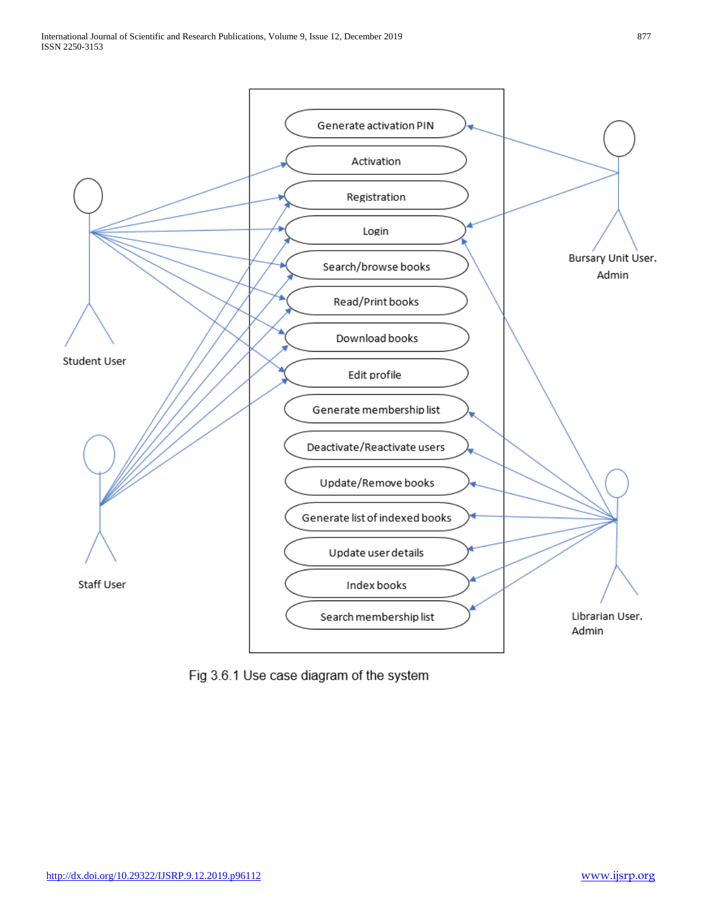

Fig 3.6.1 Use case diagram of the system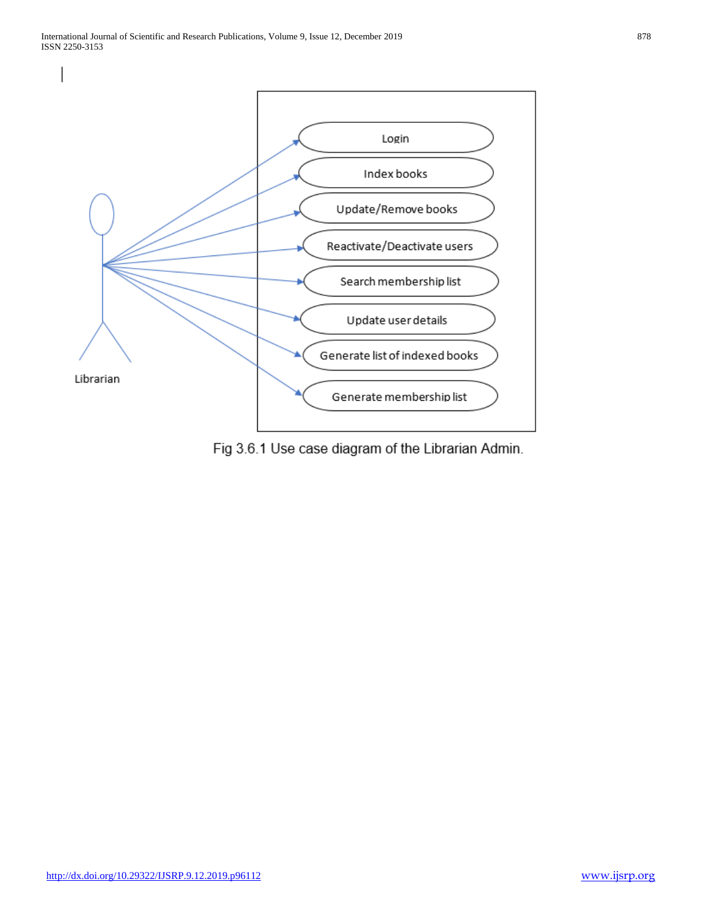

Fig 3.6.1 Use case diagram of the Librarian Admin.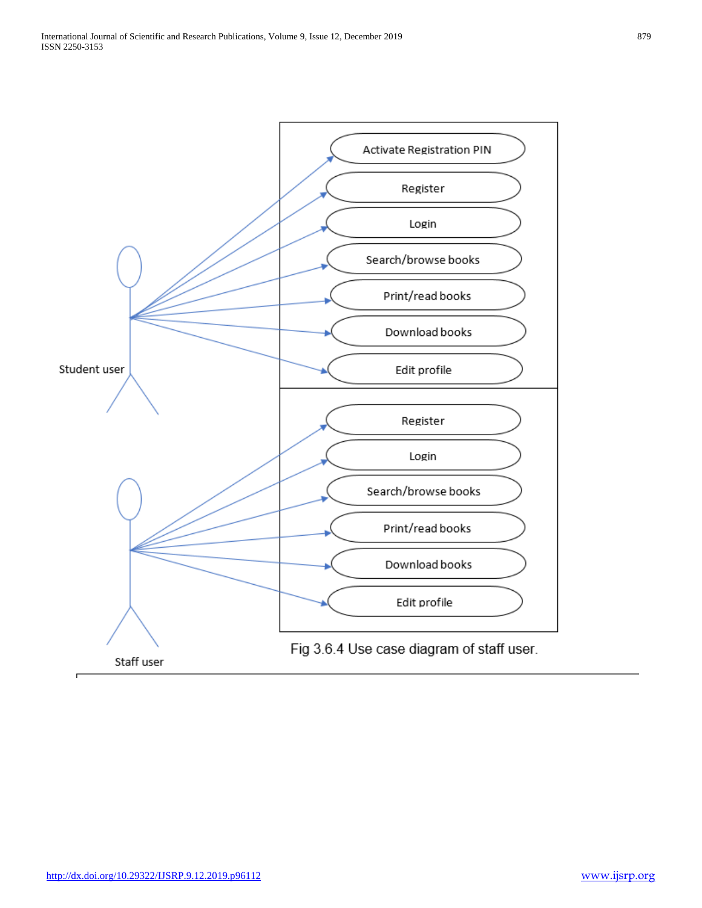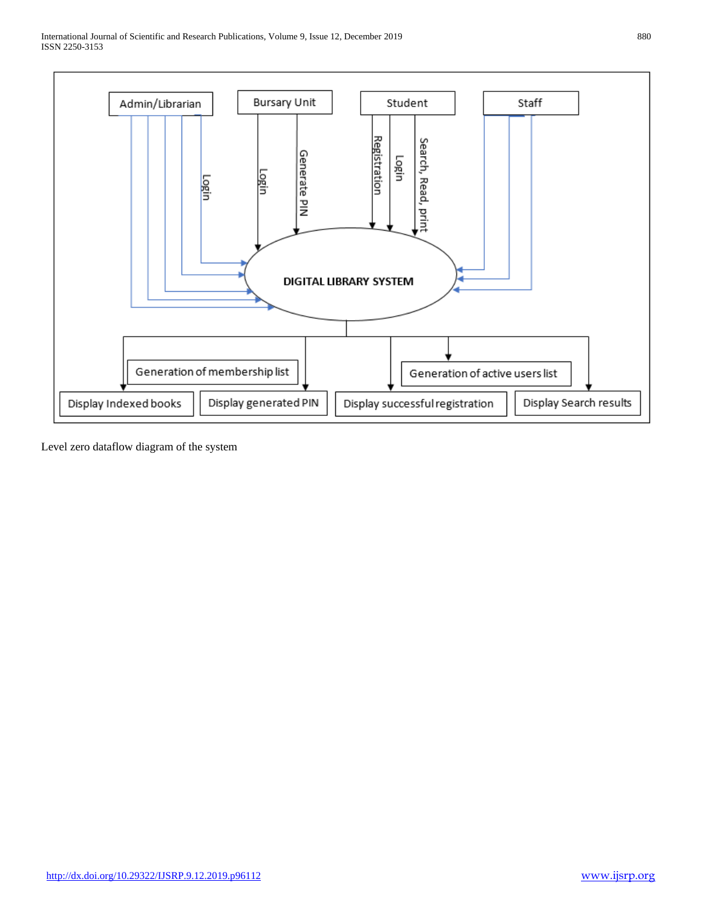International Journal of Scientific and Research Publications, Volume 9, Issue 12, December 2019 880 ISSN 2250-3153



Level zero dataflow diagram of the system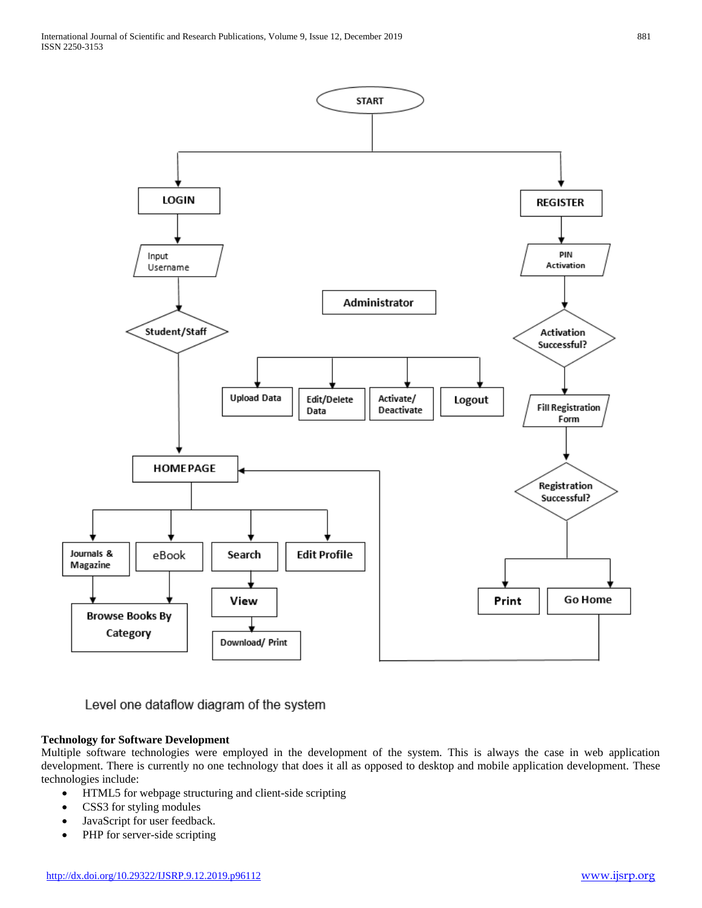

Level one dataflow diagram of the system

# **Technology for Software Development**

Multiple software technologies were employed in the development of the system. This is always the case in web application development. There is currently no one technology that does it all as opposed to desktop and mobile application development. These technologies include:

- HTML5 for webpage structuring and client-side scripting
- CSS3 for styling modules
- JavaScript for user feedback.
- PHP for server-side scripting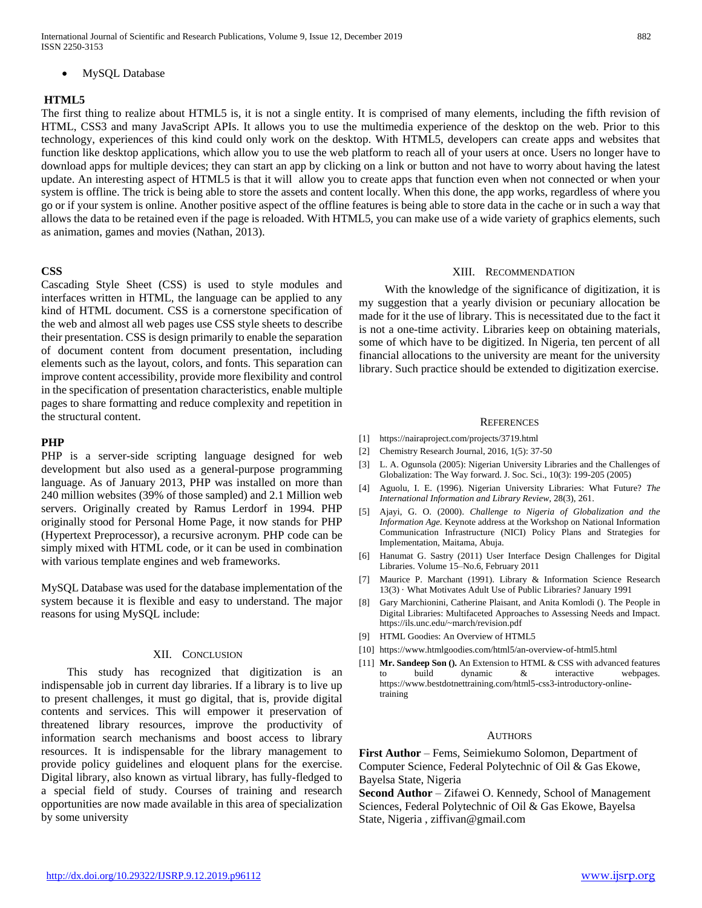International Journal of Scientific and Research Publications, Volume 9, Issue 12, December 2019 882 ISSN 2250-3153

MySQL Database

### **HTML5**

The first thing to realize about HTML5 is, it is not a single entity. It is comprised of many elements, including the fifth revision of HTML, CSS3 and many JavaScript APIs. It allows you to use the multimedia experience of the desktop on the web. Prior to this technology, experiences of this kind could only work on the desktop. With HTML5, developers can create apps and websites that function like desktop applications, which allow you to use the web platform to reach all of your users at once. Users no longer have to download apps for multiple devices; they can start an app by clicking on a link or button and not have to worry about having the latest update. An interesting aspect of HTML5 is that it will allow you to create apps that function even when not connected or when your system is offline. The trick is being able to store the assets and content locally. When this done, the app works, regardless of where you go or if your system is online. Another positive aspect of the offline features is being able to store data in the cache or in such a way that allows the data to be retained even if the page is reloaded. With HTML5, you can make use of a wide variety of graphics elements, such as animation, games and movies (Nathan, 2013).

#### **CSS**

Cascading Style Sheet (CSS) is used to style modules and interfaces written in HTML, the language can be applied to any kind of HTML document. CSS is a cornerstone specification of the web and almost all web pages use CSS style sheets to describe their presentation. CSS is design primarily to enable the separation of document content from document presentation, including elements such as the layout, colors, and fonts. This separation can improve content accessibility, provide more flexibility and control in the specification of presentation characteristics, enable multiple pages to share formatting and reduce complexity and repetition in the structural content.

## **PHP**

PHP is a server-side scripting language designed for web development but also used as a general-purpose programming language. As of January 2013, PHP was installed on more than 240 million websites (39% of those sampled) and 2.1 Million web servers. Originally created by Ramus Lerdorf in 1994. PHP originally stood for Personal Home Page, it now stands for PHP (Hypertext Preprocessor), a recursive acronym. PHP code can be simply mixed with HTML code, or it can be used in combination with various template engines and web frameworks.

MySQL Database was used for the database implementation of the system because it is flexible and easy to understand. The major reasons for using MySQL include:

## XII. CONCLUSION

 This study has recognized that digitization is an indispensable job in current day libraries. If a library is to live up to present challenges, it must go digital, that is, provide digital contents and services. This will empower it preservation of threatened library resources, improve the productivity of information search mechanisms and boost access to library resources. It is indispensable for the library management to provide policy guidelines and eloquent plans for the exercise. Digital library, also known as virtual library, has fully-fledged to a special field of study. Courses of training and research opportunities are now made available in this area of specialization by some university

### XIII. RECOMMENDATION

 With the knowledge of the significance of digitization, it is my suggestion that a yearly division or pecuniary allocation be made for it the use of library. This is necessitated due to the fact it is not a one-time activity. Libraries keep on obtaining materials, some of which have to be digitized. In Nigeria, ten percent of all financial allocations to the university are meant for the university library. Such practice should be extended to digitization exercise.

#### **REFERENCES**

- [1] https://nairaproject.com/projects/3719.html
- [2] Chemistry Research Journal, 2016, 1(5): 37-50
- [3] L. A. Ogunsola (2005): Nigerian University Libraries and the Challenges of Globalization: The Way forward. J. Soc. Sci., 10(3): 199-205 (2005)
- [4] Aguolu, I. E. (1996). Nigerian University Libraries: What Future? *The International Information and Library Review,* 28(3), 261.
- [5] Ajayi, G. O. (2000). *Challenge to Nigeria of Globalization and the Information Age.* Keynote address at the Workshop on National Information Communication Infrastructure (NICI) Policy Plans and Strategies for Implementation, Maitama, Abuja.
- [6] Hanumat G. Sastry (2011) User Interface Design Challenges for Digital Libraries. Volume 15–No.6, February 2011
- [7] Maurice P. Marchant (1991). Library & Information Science Research 13(3) · What Motivates Adult Use of Public Libraries? January 1991
- [8] Gary Marchionini, Catherine Plaisant, and Anita Komlodi (). The People in Digital Libraries: Multifaceted Approaches to Assessing Needs and Impact. https://ils.unc.edu/~march/revision.pdf
- [9] HTML Goodies: An Overview of HTML5
- [10] https://www.htmlgoodies.com/html5/an-overview-of-html5.html
- [11] **Mr. Sandeep Son ().** An Extension to HTML & CSS with advanced features to build dynamic & interactive webpages. https://www.bestdotnettraining.com/html5-css3-introductory-onlinetraining

## **AUTHORS**

**First Author** – Fems, Seimiekumo Solomon, Department of Computer Science, Federal Polytechnic of Oil & Gas Ekowe, Bayelsa State, Nigeria

**Second Author** – Zifawei O. Kennedy, School of Management Sciences, Federal Polytechnic of Oil & Gas Ekowe, Bayelsa State, Nigeria , ziffivan@gmail.com